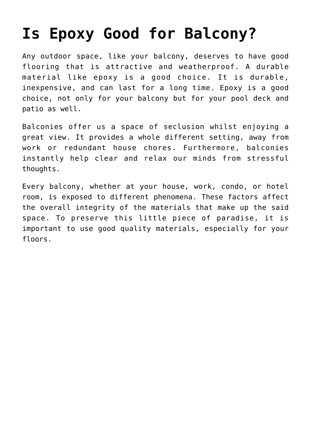# **[Is Epoxy Good for Balcony?](https://epoxybrisbane.com.au/is-epoxy-good-for-balcony/)**

Any outdoor space, like your balcony, deserves to have good flooring that is attractive and weatherproof. A durable material like epoxy is a good choice. It is durable, inexpensive, and can last for a long time. Epoxy is a good choice, not only for your balcony but for your pool deck and patio as well.

Balconies offer us a space of seclusion whilst enjoying a great view. It provides a whole different setting, away from work or redundant house chores. Furthermore, balconies instantly help clear and relax our minds from stressful thoughts.

Every balcony, whether at your house, work, condo, or hotel room, is exposed to different phenomena. These factors affect the overall integrity of the materials that make up the said space. To preserve this little piece of paradise, it is important to use good quality materials, especially for your floors.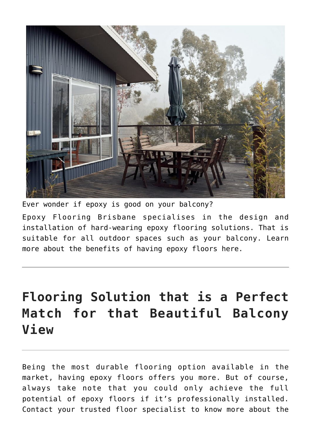

Ever wonder if epoxy is good on your balcony?

[Epoxy Flooring Brisbane](https://epoxybrisbane.com.au/) specialises in the design and installation of hard-wearing epoxy flooring solutions. That is suitable for all outdoor spaces such as your balcony. [Learn](https://www.moneyformybeer.com/benefits-of-having-epoxy-floors/) [more about the benefits of having epoxy floors](https://www.moneyformybeer.com/benefits-of-having-epoxy-floors/) here.

# **Flooring Solution that is a Perfect Match for that Beautiful Balcony View**

Being the most durable flooring option available in the market, having epoxy floors offers you more. But of course, always take note that you could only achieve the full potential of epoxy floors if it's [professionally installed.](https://www.moneyformybeer.com/epoxy-floor-installer-vs-doing-it-yourself/) Contact your [trusted floor specialist](https://epoxybrisbane.com.au/contact-us/) to know more about the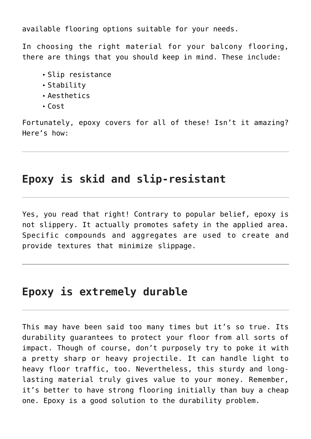available flooring options suitable for your needs.

In choosing the right material for your balcony flooring, there are things that you should keep in mind. These include:

- Slip resistance
- Stability
- Aesthetics
- Cost

Fortunately, epoxy covers for all of these! Isn't it amazing? Here's how:

### **Epoxy is skid and slip-resistant**

Yes, you read that right! Contrary to popular belief, epoxy is not slippery. It actually promotes safety in the applied area. Specific compounds and aggregates are used to create and provide textures that minimize slippage.

## **Epoxy is extremely durable**

This may have been said too many times but it's so true. Its durability guarantees to protect your floor from all sorts of impact. Though of course, don't purposely try to poke it with a pretty sharp or heavy projectile. It can handle light to heavy floor traffic, too. Nevertheless, this sturdy and longlasting material truly gives value to your money. Remember, it's better to have strong flooring initially than buy a cheap one. Epoxy is a good solution to the durability problem.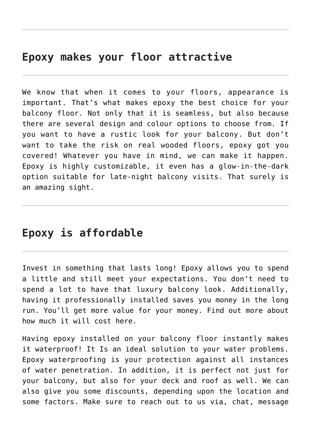### **Epoxy makes your floor attractive**

We know that when it comes to your floors, appearance is important. That's what makes epoxy the best choice for your balcony floor. Not only that it is seamless, but also because there are several design and colour options to choose from. If you want to have a rustic look for your balcony. But don't want to take the risk on real wooded floors, epoxy got you covered! Whatever you have in mind, we can make it happen. Epoxy is highly customizable, it even has a [glow-in-the-dark](https://epoxybrisbane.com.au/glow-in-dark-epoxy-floor/) option suitable for late-night balcony visits. That surely is an amazing sight.

#### **Epoxy is affordable**

Invest in something that [lasts long](https://epoxybrisbane.com.au/how-long-do-epoxy-flooring-last/)! Epoxy allows you to spend a little and still meet your expectations. You don't need to spend a lot to have that luxury balcony look. Additionally, having it professionally installed saves you money in the long run. You'll get more value for your money. Find out more about how much it will cost [here.](https://epoxybrisbane.com.au/contact-us/)

Having epoxy installed on your balcony floor instantly makes it waterproof! It Is an ideal solution to your water problems. Epoxy waterproofing is your protection against all instances of water penetration. In addition, it is perfect not just for your balcony, but also for your deck and roof as well. We can also give you some discounts, depending upon the location and some factors. Make sure to reach out to us via, chat, message